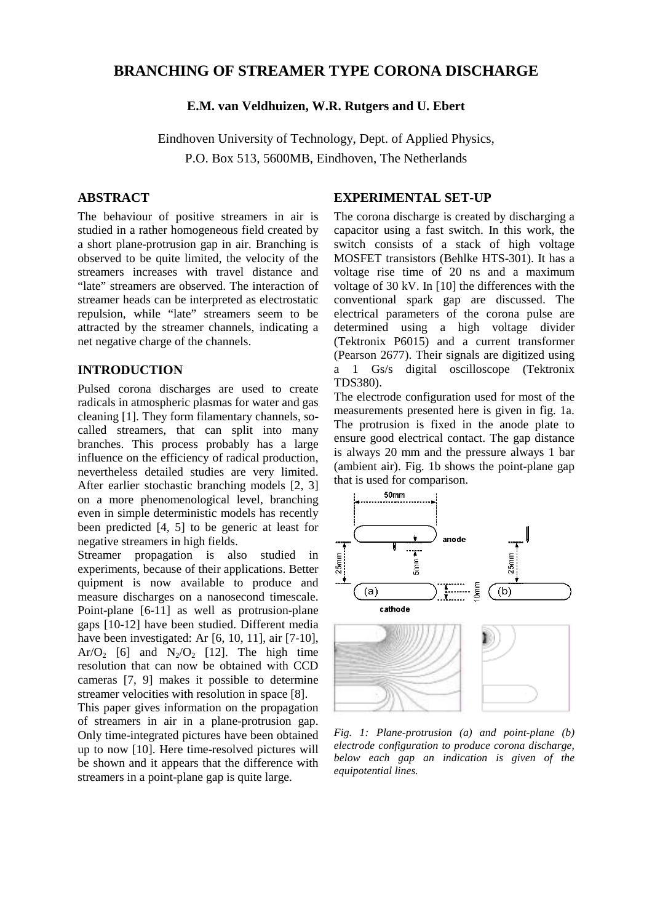# **BRANCHING OF STREAMER TYPE CORONA DISCHARGE**

## **E.M. van Veldhuizen, W.R. Rutgers and U. Ebert**

Eindhoven University of Technology, Dept. of Applied Physics, P.O. Box 513, 5600MB, Eindhoven, The Netherlands

# **ABSTRACT**

The behaviour of positive streamers in air is studied in a rather homogeneous field created by a short plane-protrusion gap in air. Branching is observed to be quite limited, the velocity of the streamers increases with travel distance and "late" streamers are observed. The interaction of streamer heads can be interpreted as electrostatic repulsion, while "late" streamers seem to be attracted by the streamer channels, indicating a net negative charge of the channels.

#### **INTRODUCTION**

Pulsed corona discharges are used to create radicals in atmospheric plasmas for water and gas cleaning [1]. They form filamentary channels, socalled streamers, that can split into many branches. This process probably has a large influence on the efficiency of radical production, nevertheless detailed studies are very limited. After earlier stochastic branching models [2, 3] on a more phenomenological level, branching even in simple deterministic models has recently been predicted [4, 5] to be generic at least for negative streamers in high fields.

Streamer propagation is also studied in experiments, because of their applications. Better quipment is now available to produce and measure discharges on a nanosecond timescale. Point-plane [6-11] as well as protrusion-plane gaps [10-12] have been studied. Different media have been investigated: Ar [6, 10, 11], air [7-10], Ar/O<sub>2</sub> [6] and  $N_2$ /O<sub>2</sub> [12]. The high time resolution that can now be obtained with CCD cameras [7, 9] makes it possible to determine streamer velocities with resolution in space [8].

This paper gives information on the propagation of streamers in air in a plane-protrusion gap. Only time-integrated pictures have been obtained up to now [10]. Here time-resolved pictures will be shown and it appears that the difference with streamers in a point-plane gap is quite large.

## **EXPERIMENTAL SET-UP**

The corona discharge is created by discharging a capacitor using a fast switch. In this work, the switch consists of a stack of high voltage MOSFET transistors (Behlke HTS-301). It has a voltage rise time of 20 ns and a maximum voltage of 30 kV. In [10] the differences with the conventional spark gap are discussed. The electrical parameters of the corona pulse are determined using a high voltage divider (Tektronix P6015) and a current transformer (Pearson 2677). Their signals are digitized using a 1 Gs/s digital oscilloscope (Tektronix TDS380).

The electrode configuration used for most of the measurements presented here is given in fig. 1a. The protrusion is fixed in the anode plate to ensure good electrical contact. The gap distance is always 20 mm and the pressure always 1 bar (ambient air). Fig. 1b shows the point-plane gap that is used for comparison.



*Fig. 1: Plane-protrusion (a) and point-plane (b) electrode configuration to produce corona discharge, below each gap an indication is given of the equipotential lines.*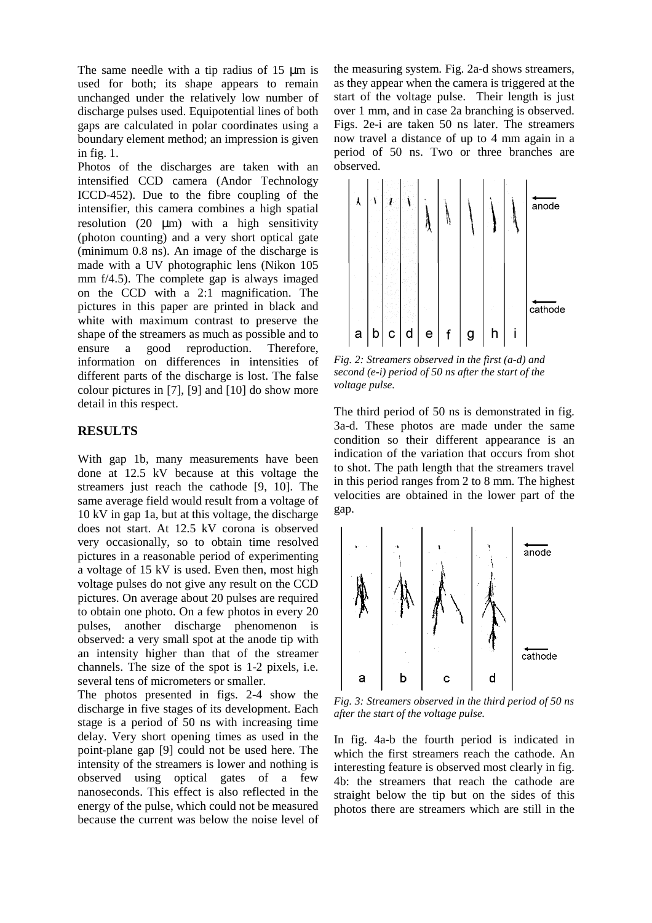The same needle with a tip radius of 15  $\mu$ m is used for both; its shape appears to remain unchanged under the relatively low number of discharge pulses used. Equipotential lines of both gaps are calculated in polar coordinates using a boundary element method; an impression is given in fig. 1.

Photos of the discharges are taken with an intensified CCD camera (Andor Technology ICCD-452). Due to the fibre coupling of the intensifier, this camera combines a high spatial resolution  $(20 \mu m)$  with a high sensitivity (photon counting) and a very short optical gate (minimum 0.8 ns). An image of the discharge is made with a UV photographic lens (Nikon 105 mm f/4.5). The complete gap is always imaged on the CCD with a 2:1 magnification. The pictures in this paper are printed in black and white with maximum contrast to preserve the shape of the streamers as much as possible and to ensure a good reproduction. Therefore, information on differences in intensities of different parts of the discharge is lost. The false colour pictures in [7], [9] and [10] do show more detail in this respect.

## **RESULTS**

With gap 1b, many measurements have been done at 12.5 kV because at this voltage the streamers just reach the cathode [9, 10]. The same average field would result from a voltage of 10 kV in gap 1a, but at this voltage, the discharge does not start. At 12.5 kV corona is observed very occasionally, so to obtain time resolved pictures in a reasonable period of experimenting a voltage of 15 kV is used. Even then, most high voltage pulses do not give any result on the CCD pictures. On average about 20 pulses are required to obtain one photo. On a few photos in every 20 pulses, another discharge phenomenon is observed: a very small spot at the anode tip with an intensity higher than that of the streamer channels. The size of the spot is 1-2 pixels, i.e. several tens of micrometers or smaller.

The photos presented in figs. 2-4 show the discharge in five stages of its development. Each stage is a period of 50 ns with increasing time delay. Very short opening times as used in the point-plane gap [9] could not be used here. The intensity of the streamers is lower and nothing is observed using optical gates of a few nanoseconds. This effect is also reflected in the energy of the pulse, which could not be measured because the current was below the noise level of

the measuring system. Fig. 2a-d shows streamers, as they appear when the camera is triggered at the start of the voltage pulse. Their length is just over 1 mm, and in case 2a branching is observed. Figs. 2e-i are taken 50 ns later. The streamers now travel a distance of up to 4 mm again in a period of 50 ns. Two or three branches are observed.



*Fig. 2: Streamers observed in the first (a-d) and second (e-i) period of 50 ns after the start of the voltage pulse.* 

The third period of 50 ns is demonstrated in fig. 3a-d. These photos are made under the same condition so their different appearance is an indication of the variation that occurs from shot to shot. The path length that the streamers travel in this period ranges from 2 to 8 mm. The highest velocities are obtained in the lower part of the gap.



*Fig. 3: Streamers observed in the third period of 50 ns after the start of the voltage pulse.* 

In fig. 4a-b the fourth period is indicated in which the first streamers reach the cathode. An interesting feature is observed most clearly in fig. 4b: the streamers that reach the cathode are straight below the tip but on the sides of this photos there are streamers which are still in the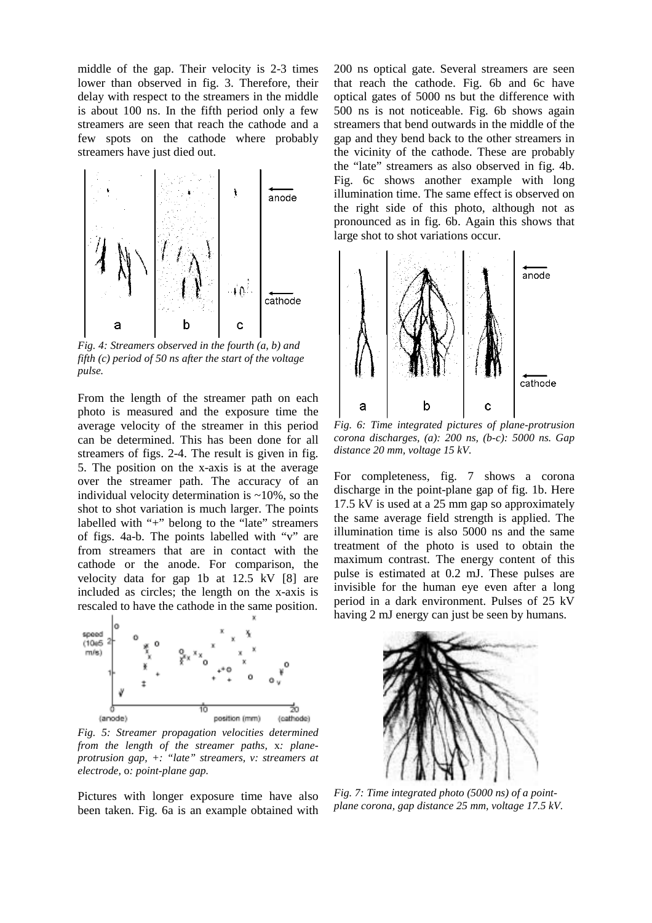middle of the gap. Their velocity is 2-3 times lower than observed in fig. 3. Therefore, their delay with respect to the streamers in the middle is about 100 ns. In the fifth period only a few streamers are seen that reach the cathode and a few spots on the cathode where probably streamers have just died out.



*Fig. 4: Streamers observed in the fourth (a, b) and fifth (c) period of 50 ns after the start of the voltage pulse.* 

From the length of the streamer path on each photo is measured and the exposure time the average velocity of the streamer in this period can be determined. This has been done for all streamers of figs. 2-4. The result is given in fig. 5. The position on the x-axis is at the average over the streamer path. The accuracy of an individual velocity determination is  $\sim$ 10%, so the shot to shot variation is much larger. The points labelled with "+" belong to the "late" streamers of figs. 4a-b. The points labelled with "v" are from streamers that are in contact with the cathode or the anode. For comparison, the velocity data for gap 1b at 12.5 kV [8] are included as circles; the length on the x-axis is rescaled to have the cathode in the same position.



*Fig. 5: Streamer propagation velocities determined from the length of the streamer paths,* x*: planeprotrusion gap, +: "late" streamers, v: streamers at electrode,* o*: point-plane gap.* 

Pictures with longer exposure time have also been taken. Fig. 6a is an example obtained with

200 ns optical gate. Several streamers are seen that reach the cathode. Fig. 6b and 6c have optical gates of 5000 ns but the difference with 500 ns is not noticeable. Fig. 6b shows again streamers that bend outwards in the middle of the gap and they bend back to the other streamers in the vicinity of the cathode. These are probably the "late" streamers as also observed in fig. 4b. Fig. 6c shows another example with long illumination time. The same effect is observed on the right side of this photo, although not as pronounced as in fig. 6b. Again this shows that large shot to shot variations occur.



*Fig. 6: Time integrated pictures of plane-protrusion corona discharges, (a): 200 ns, (b-c): 5000 ns. Gap distance 20 mm, voltage 15 kV.* 

For completeness, fig. 7 shows a corona discharge in the point-plane gap of fig. 1b. Here 17.5 kV is used at a 25 mm gap so approximately the same average field strength is applied. The illumination time is also 5000 ns and the same treatment of the photo is used to obtain the maximum contrast. The energy content of this pulse is estimated at 0.2 mJ. These pulses are invisible for the human eye even after a long period in a dark environment. Pulses of 25 kV having 2 mJ energy can just be seen by humans.



*Fig. 7: Time integrated photo (5000 ns) of a pointplane corona, gap distance 25 mm, voltage 17.5 kV.*